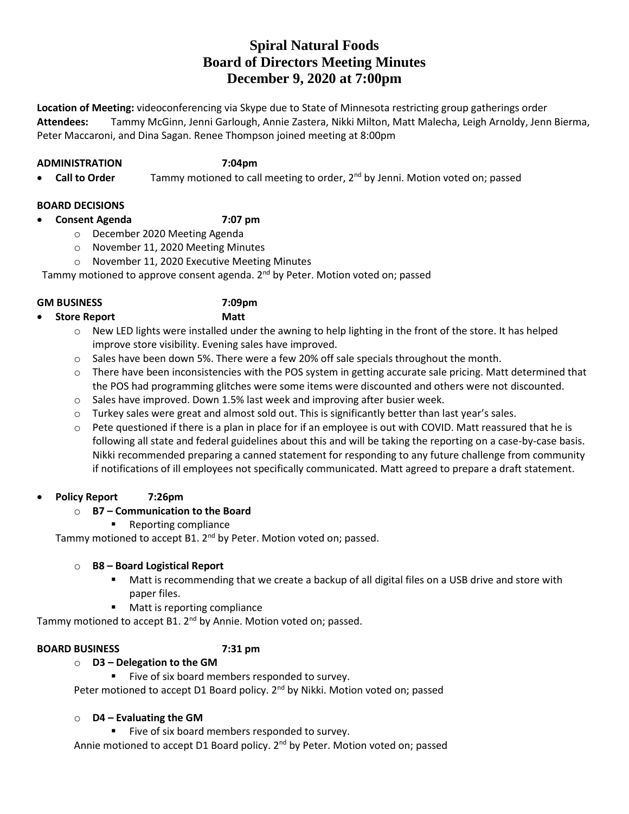# **Spiral Natural Foods Board of Directors Meeting Minutes December 9, 2020 at 7:00pm**

**Location of Meeting:** videoconferencing via Skype due to State of Minnesota restricting group gatherings order **Attendees:** Tammy McGinn, Jenni Garlough, Annie Zastera, Nikki Milton, Matt Malecha, Leigh Arnoldy, Jenn Bierma, Peter Maccaroni, and Dina Sagan. Renee Thompson joined meeting at 8:00pm

### **ADMINISTRATION 7:04pm**

**• Call to Order** Tammy motioned to call meeting to order, 2<sup>nd</sup> by Jenni. Motion voted on; passed

# **BOARD DECISIONS**

- **Consent Agenda 7:07 pm**
	- o December 2020 Meeting Agenda
	- o November 11, 2020 Meeting Minutes
	- o November 11, 2020 Executive Meeting Minutes

Tammy motioned to approve consent agenda. 2<sup>nd</sup> by Peter. Motion voted on; passed

### **GM BUSINESS 7:09pm**

- **Store Report Matt**
	- o New LED lights were installed under the awning to help lighting in the front of the store. It has helped improve store visibility. Evening sales have improved.
	- $\circ$  Sales have been down 5%. There were a few 20% off sale specials throughout the month.
	- o There have been inconsistencies with the POS system in getting accurate sale pricing. Matt determined that the POS had programming glitches were some items were discounted and others were not discounted.
	- o Sales have improved. Down 1.5% last week and improving after busier week.
	- $\circ$  Turkey sales were great and almost sold out. This is significantly better than last year's sales.
	- $\circ$  Pete questioned if there is a plan in place for if an employee is out with COVID. Matt reassured that he is following all state and federal guidelines about this and will be taking the reporting on a case-by-case basis. Nikki recommended preparing a canned statement for responding to any future challenge from community if notifications of ill employees not specifically communicated. Matt agreed to prepare a draft statement.

# **Policy Report 7:26pm**

# o **B7 – Communication to the Board**

**Reporting compliance** 

Tammy motioned to accept B1. 2<sup>nd</sup> by Peter. Motion voted on; passed.

# o **B8 – Board Logistical Report**

- Matt is recommending that we create a backup of all digital files on a USB drive and store with paper files.
- **Matt is reporting compliance**

Tammy motioned to accept B1. 2<sup>nd</sup> by Annie. Motion voted on; passed.

# **BOARD BUSINESS 7:31 pm**

o **D3 – Delegation to the GM**

Five of six board members responded to survey.

Peter motioned to accept D1 Board policy. 2<sup>nd</sup> by Nikki. Motion voted on; passed

# o **D4 – Evaluating the GM**

Five of six board members responded to survey.

Annie motioned to accept D1 Board policy. 2<sup>nd</sup> by Peter. Motion voted on; passed